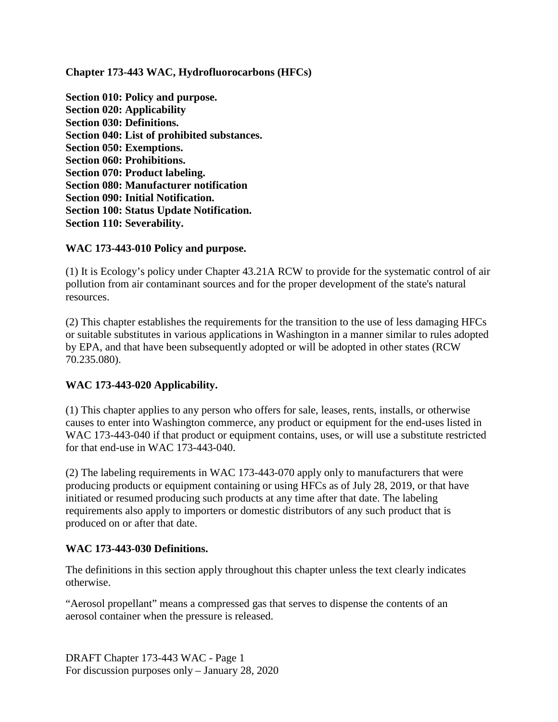**Chapter 173-443 WAC, Hydrofluorocarbons (HFCs)**

**Section 010: Policy and purpose. Section 020: Applicability Section 030: Definitions. Section 040: List of prohibited substances. Section 050: Exemptions. Section 060: Prohibitions. Section 070: Product labeling. Section 080: Manufacturer notification Section 090: Initial Notification. Section 100: Status Update Notification. Section 110: Severability.**

#### **WAC 173-443-010 Policy and purpose.**

(1) It is Ecology's policy under Chapter 43.21A RCW to provide for the systematic control of air pollution from air contaminant sources and for the proper development of the state's natural resources.

(2) This chapter establishes the requirements for the transition to the use of less damaging HFCs or suitable substitutes in various applications in Washington in a manner similar to rules adopted by EPA, and that have been subsequently adopted or will be adopted in other states (RCW 70.235.080).

## **WAC 173-443-020 Applicability.**

(1) This chapter applies to any person who offers for sale, leases, rents, installs, or otherwise causes to enter into Washington commerce, any product or equipment for the end-uses listed in WAC 173-443-040 if that product or equipment contains, uses, or will use a substitute restricted for that end-use in WAC 173-443-040.

(2) The labeling requirements in WAC 173-443-070 apply only to manufacturers that were producing products or equipment containing or using HFCs as of July 28, 2019, or that have initiated or resumed producing such products at any time after that date. The labeling requirements also apply to importers or domestic distributors of any such product that is produced on or after that date.

#### **WAC 173-443-030 Definitions.**

The definitions in this section apply throughout this chapter unless the text clearly indicates otherwise.

"Aerosol propellant" means a compressed gas that serves to dispense the contents of an aerosol container when the pressure is released.

DRAFT Chapter 173-443 WAC - Page 1 For discussion purposes only – January 28, 2020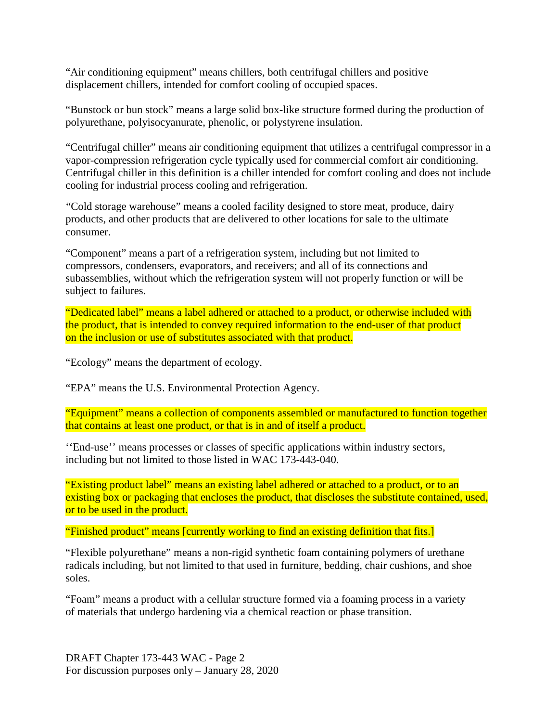"Air conditioning equipment" means chillers, both centrifugal chillers and positive displacement chillers, intended for comfort cooling of occupied spaces.

"Bunstock or bun stock" means a large solid box-like structure formed during the production of polyurethane, polyisocyanurate, phenolic, or polystyrene insulation.

"Centrifugal chiller" means air conditioning equipment that utilizes a centrifugal compressor in a vapor-compression refrigeration cycle typically used for commercial comfort air conditioning. Centrifugal chiller in this definition is a chiller intended for comfort cooling and does not include cooling for industrial process cooling and refrigeration.

"Cold storage warehouse" means a cooled facility designed to store meat, produce, dairy products, and other products that are delivered to other locations for sale to the ultimate consumer.

"Component" means a part of a refrigeration system, including but not limited to compressors, condensers, evaporators, and receivers; and all of its connections and subassemblies, without which the refrigeration system will not properly function or will be subject to failures.

"Dedicated label" means a label adhered or attached to a product, or otherwise included with the product, that is intended to convey required information to the end-user of that product on the inclusion or use of substitutes associated with that product.

"Ecology" means the department of ecology.

"EPA" means the U.S. Environmental Protection Agency.

"Equipment" means a collection of components assembled or manufactured to function together that contains at least one product, or that is in and of itself a product.

''End-use'' means processes or classes of specific applications within industry sectors, including but not limited to those listed in WAC 173-443-040.

"Existing product label" means an existing label adhered or attached to a product, or to an existing box or packaging that encloses the product, that discloses the substitute contained, used, or to be used in the product.

"Finished product" means [currently working to find an existing definition that fits.]

"Flexible polyurethane" means a non-rigid synthetic foam containing polymers of urethane radicals including, but not limited to that used in furniture, bedding, chair cushions, and shoe soles.

"Foam" means a product with a cellular structure formed via a foaming process in a variety of materials that undergo hardening via a chemical reaction or phase transition.

DRAFT Chapter 173-443 WAC - Page 2 For discussion purposes only – January 28, 2020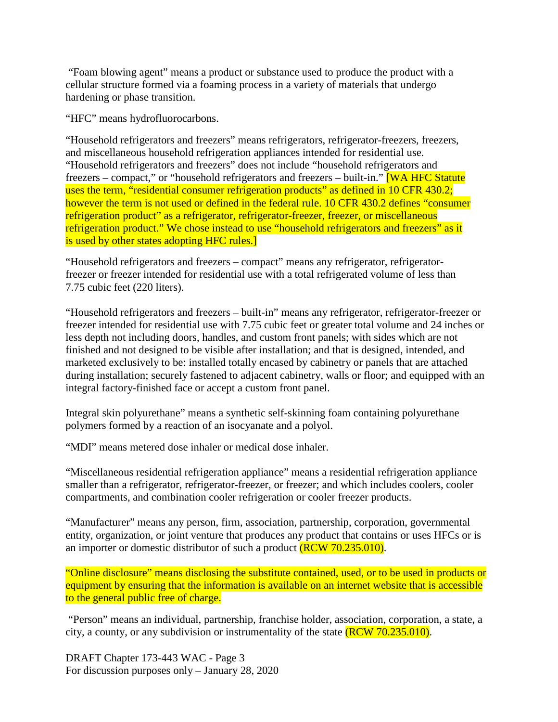"Foam blowing agent" means a product or substance used to produce the product with a cellular structure formed via a foaming process in a variety of materials that undergo hardening or phase transition.

"HFC" means hydrofluorocarbons.

"Household refrigerators and freezers" means refrigerators, refrigerator-freezers, freezers, and miscellaneous household refrigeration appliances intended for residential use. "Household refrigerators and freezers" does not include "household refrigerators and freezers – compact," or "household refrigerators and freezers – built-in." [WA HFC Statute uses the term, "residential consumer refrigeration products" as defined in 10 CFR 430.2; however the term is not used or defined in the federal rule. 10 CFR 430.2 defines "consumer" refrigeration product" as a refrigerator, refrigerator-freezer, freezer, or miscellaneous refrigeration product." We chose instead to use "household refrigerators and freezers" as it is used by other states adopting HFC rules.

"Household refrigerators and freezers – compact" means any refrigerator, refrigeratorfreezer or freezer intended for residential use with a total refrigerated volume of less than 7.75 cubic feet (220 liters).

"Household refrigerators and freezers – built-in" means any refrigerator, refrigerator-freezer or freezer intended for residential use with 7.75 cubic feet or greater total volume and 24 inches or less depth not including doors, handles, and custom front panels; with sides which are not finished and not designed to be visible after installation; and that is designed, intended, and marketed exclusively to be: installed totally encased by cabinetry or panels that are attached during installation; securely fastened to adjacent cabinetry, walls or floor; and equipped with an integral factory-finished face or accept a custom front panel.

Integral skin polyurethane" means a synthetic self-skinning foam containing polyurethane polymers formed by a reaction of an isocyanate and a polyol.

"MDI" means metered dose inhaler or medical dose inhaler.

"Miscellaneous residential refrigeration appliance" means a residential refrigeration appliance smaller than a refrigerator, refrigerator-freezer, or freezer; and which includes coolers, cooler compartments, and combination cooler refrigeration or cooler freezer products.

"Manufacturer" means any person, firm, association, partnership, corporation, governmental entity, organization, or joint venture that produces any product that contains or uses HFCs or is an importer or domestic distributor of such a product (RCW 70.235.010).

"Online disclosure" means disclosing the substitute contained, used, or to be used in products or equipment by ensuring that the information is available on an internet website that is accessible to the general public free of charge.

"Person" means an individual, partnership, franchise holder, association, corporation, a state, a city, a county, or any subdivision or instrumentality of the state  $(RCW 70.235.010)$ .

DRAFT Chapter 173-443 WAC - Page 3 For discussion purposes only – January 28, 2020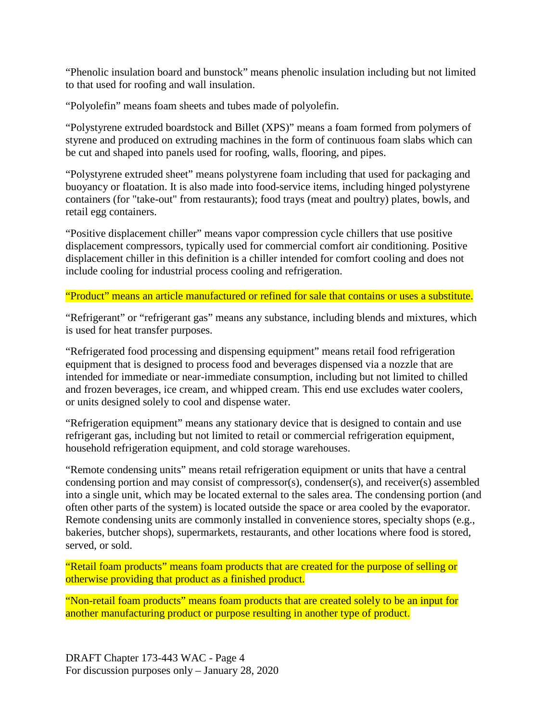"Phenolic insulation board and bunstock" means phenolic insulation including but not limited to that used for roofing and wall insulation.

"Polyolefin" means foam sheets and tubes made of polyolefin.

"Polystyrene extruded boardstock and Billet (XPS)" means a foam formed from polymers of styrene and produced on extruding machines in the form of continuous foam slabs which can be cut and shaped into panels used for roofing, walls, flooring, and pipes.

"Polystyrene extruded sheet" means polystyrene foam including that used for packaging and buoyancy or floatation. It is also made into food-service items, including hinged polystyrene containers (for "take-out" from restaurants); food trays (meat and poultry) plates, bowls, and retail egg containers.

"Positive displacement chiller" means vapor compression cycle chillers that use positive displacement compressors, typically used for commercial comfort air conditioning. Positive displacement chiller in this definition is a chiller intended for comfort cooling and does not include cooling for industrial process cooling and refrigeration.

#### "Product" means an article manufactured or refined for sale that contains or uses a substitute.

"Refrigerant" or "refrigerant gas" means any substance, including blends and mixtures, which is used for heat transfer purposes.

"Refrigerated food processing and dispensing equipment" means retail food refrigeration equipment that is designed to process food and beverages dispensed via a nozzle that are intended for immediate or near-immediate consumption, including but not limited to chilled and frozen beverages, ice cream, and whipped cream. This end use excludes water coolers, or units designed solely to cool and dispense water.

"Refrigeration equipment" means any stationary device that is designed to contain and use refrigerant gas, including but not limited to retail or commercial refrigeration equipment, household refrigeration equipment, and cold storage warehouses.

"Remote condensing units" means retail refrigeration equipment or units that have a central condensing portion and may consist of compressor(s), condenser(s), and receiver(s) assembled into a single unit, which may be located external to the sales area. The condensing portion (and often other parts of the system) is located outside the space or area cooled by the evaporator. Remote condensing units are commonly installed in convenience stores, specialty shops (e.g., bakeries, butcher shops), supermarkets, restaurants, and other locations where food is stored, served, or sold.

"Retail foam products" means foam products that are created for the purpose of selling or otherwise providing that product as a finished product.

"Non-retail foam products" means foam products that are created solely to be an input for another manufacturing product or purpose resulting in another type of product.

DRAFT Chapter 173-443 WAC - Page 4 For discussion purposes only – January 28, 2020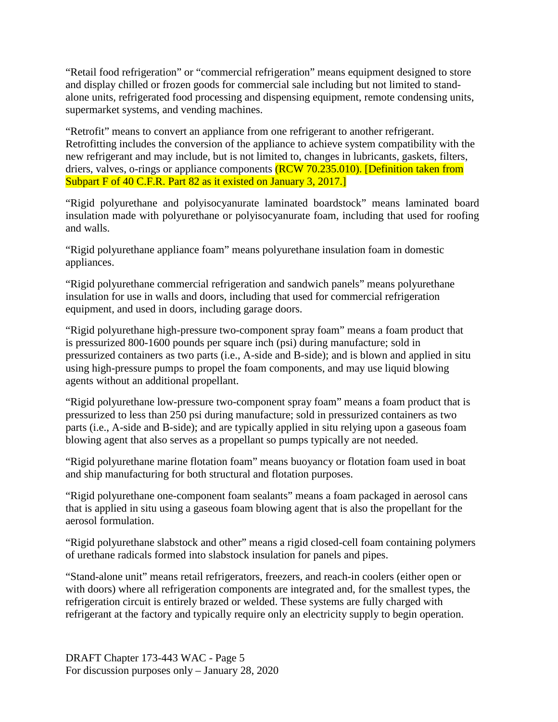"Retail food refrigeration" or "commercial refrigeration" means equipment designed to store and display chilled or frozen goods for commercial sale including but not limited to standalone units, refrigerated food processing and dispensing equipment, remote condensing units, supermarket systems, and vending machines.

"Retrofit" means to convert an appliance from one refrigerant to another refrigerant. Retrofitting includes the conversion of the appliance to achieve system compatibility with the new refrigerant and may include, but is not limited to, changes in lubricants, gaskets, filters, driers, valves, o-rings or appliance components (RCW 70.235.010). [Definition taken from Subpart F of 40 C.F.R. Part 82 as it existed on January 3, 2017.

"Rigid polyurethane and polyisocyanurate laminated boardstock" means laminated board insulation made with polyurethane or polyisocyanurate foam, including that used for roofing and walls.

"Rigid polyurethane appliance foam" means polyurethane insulation foam in domestic appliances.

"Rigid polyurethane commercial refrigeration and sandwich panels" means polyurethane insulation for use in walls and doors, including that used for commercial refrigeration equipment, and used in doors, including garage doors.

"Rigid polyurethane high-pressure two-component spray foam" means a foam product that is pressurized 800-1600 pounds per square inch (psi) during manufacture; sold in pressurized containers as two parts (i.e., A-side and B-side); and is blown and applied in situ using high-pressure pumps to propel the foam components, and may use liquid blowing agents without an additional propellant.

"Rigid polyurethane low-pressure two-component spray foam" means a foam product that is pressurized to less than 250 psi during manufacture; sold in pressurized containers as two parts (i.e., A-side and B-side); and are typically applied in situ relying upon a gaseous foam blowing agent that also serves as a propellant so pumps typically are not needed.

"Rigid polyurethane marine flotation foam" means buoyancy or flotation foam used in boat and ship manufacturing for both structural and flotation purposes.

"Rigid polyurethane one-component foam sealants" means a foam packaged in aerosol cans that is applied in situ using a gaseous foam blowing agent that is also the propellant for the aerosol formulation.

"Rigid polyurethane slabstock and other" means a rigid closed-cell foam containing polymers of urethane radicals formed into slabstock insulation for panels and pipes.

"Stand-alone unit" means retail refrigerators, freezers, and reach-in coolers (either open or with doors) where all refrigeration components are integrated and, for the smallest types, the refrigeration circuit is entirely brazed or welded. These systems are fully charged with refrigerant at the factory and typically require only an electricity supply to begin operation.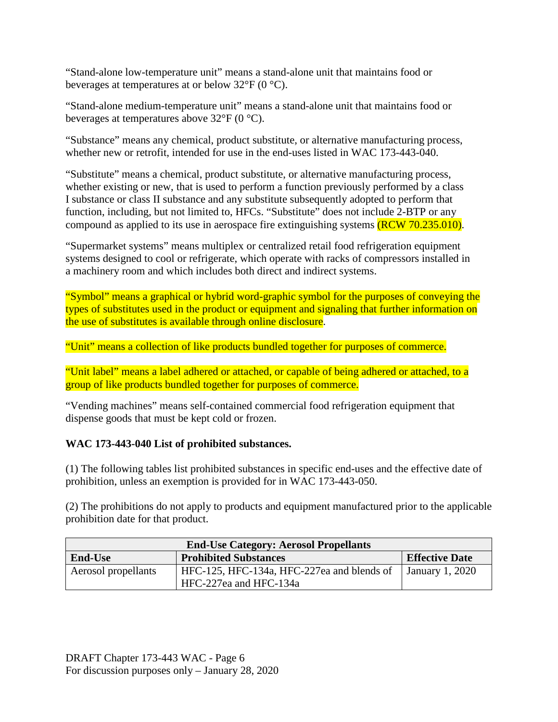"Stand-alone low-temperature unit" means a stand-alone unit that maintains food or beverages at temperatures at or below  $32^{\circ}F$  (0  $^{\circ}C$ ).

"Stand-alone medium-temperature unit" means a stand-alone unit that maintains food or beverages at temperatures above 32°F (0 °C).

"Substance" means any chemical, product substitute, or alternative manufacturing process, whether new or retrofit, intended for use in the end-uses listed in WAC 173-443-040.

"Substitute" means a chemical, product substitute, or alternative manufacturing process, whether existing or new, that is used to perform a function previously performed by a class I substance or class II substance and any substitute subsequently adopted to perform that function, including, but not limited to, HFCs. "Substitute" does not include 2-BTP or any compound as applied to its use in aerospace fire extinguishing systems (RCW 70.235.010).

"Supermarket systems" means multiplex or centralized retail food refrigeration equipment systems designed to cool or refrigerate, which operate with racks of compressors installed in a machinery room and which includes both direct and indirect systems.

"Symbol" means a graphical or hybrid word-graphic symbol for the purposes of conveying the types of substitutes used in the product or equipment and signaling that further information on the use of substitutes is available through online disclosure.

"Unit" means a collection of like products bundled together for purposes of commerce.

"Unit label" means a label adhered or attached, or capable of being adhered or attached, to a group of like products bundled together for purposes of commerce.

"Vending machines" means self-contained commercial food refrigeration equipment that dispense goods that must be kept cold or frozen.

# **WAC 173-443-040 List of prohibited substances.**

(1) The following tables list prohibited substances in specific end-uses and the effective date of prohibition, unless an exemption is provided for in WAC 173-443-050.

(2) The prohibitions do not apply to products and equipment manufactured prior to the applicable prohibition date for that product.

| <b>End-Use Category: Aerosol Propellants</b>   |                                            |                        |  |
|------------------------------------------------|--------------------------------------------|------------------------|--|
| <b>Prohibited Substances</b><br><b>End-Use</b> |                                            | <b>Effective Date</b>  |  |
| Aerosol propellants                            | HFC-125, HFC-134a, HFC-227ea and blends of | <b>January 1, 2020</b> |  |
|                                                | HFC-227ea and HFC-134a                     |                        |  |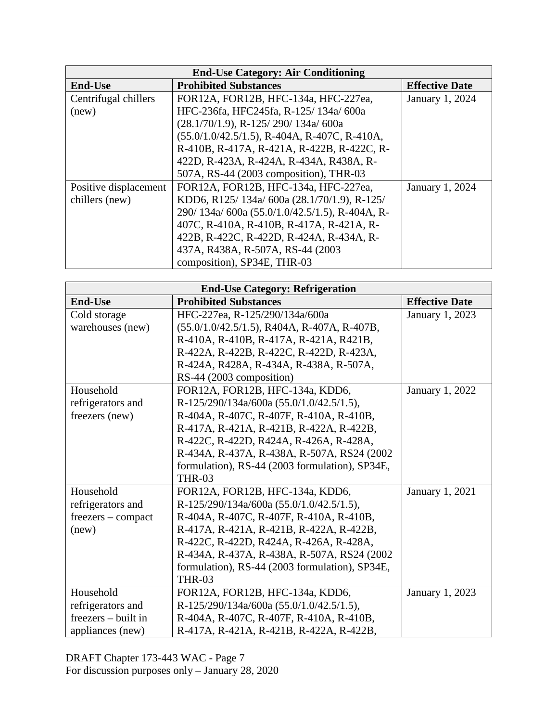| <b>End-Use Category: Air Conditioning</b> |                                                       |                 |  |
|-------------------------------------------|-------------------------------------------------------|-----------------|--|
| <b>End-Use</b>                            | <b>Prohibited Substances</b><br><b>Effective Date</b> |                 |  |
| Centrifugal chillers                      | FOR12A, FOR12B, HFC-134a, HFC-227ea,                  | January 1, 2024 |  |
| (new)                                     | HFC-236fa, HFC245fa, R-125/134a/600a                  |                 |  |
|                                           | $(28.1/70/1.9)$ , R-125/290/134a/600a                 |                 |  |
|                                           | $(55.0/1.0/42.5/1.5)$ , R-404A, R-407C, R-410A,       |                 |  |
|                                           | R-410B, R-417A, R-421A, R-422B, R-422C, R-            |                 |  |
|                                           | 422D, R-423A, R-424A, R-434A, R438A, R-               |                 |  |
|                                           | 507A, RS-44 (2003 composition), THR-03                |                 |  |
| Positive displacement                     | FOR12A, FOR12B, HFC-134a, HFC-227ea,                  | January 1, 2024 |  |
| chillers (new)                            | KDD6, R125/134a/600a (28.1/70/1.9), R-125/            |                 |  |
|                                           | 290/ 134a/ 600a (55.0/1.0/42.5/1.5), R-404A, R-       |                 |  |
|                                           | 407C, R-410A, R-410B, R-417A, R-421A, R-              |                 |  |
|                                           | 422B, R-422C, R-422D, R-424A, R-434A, R-              |                 |  |
|                                           | 437A, R438A, R-507A, RS-44 (2003)                     |                 |  |
|                                           | composition), SP34E, THR-03                           |                 |  |

| <b>End-Use Category: Refrigeration</b> |                                                |                       |  |
|----------------------------------------|------------------------------------------------|-----------------------|--|
| <b>End-Use</b>                         | <b>Prohibited Substances</b>                   | <b>Effective Date</b> |  |
| Cold storage                           | HFC-227ea, R-125/290/134a/600a                 | January 1, 2023       |  |
| warehouses (new)                       | $(55.0/1.0/42.5/1.5)$ , R404A, R-407A, R-407B, |                       |  |
|                                        | R-410A, R-410B, R-417A, R-421A, R421B,         |                       |  |
|                                        | R-422A, R-422B, R-422C, R-422D, R-423A,        |                       |  |
|                                        | R-424A, R428A, R-434A, R-438A, R-507A,         |                       |  |
|                                        | RS-44 (2003 composition)                       |                       |  |
| Household                              | FOR12A, FOR12B, HFC-134a, KDD6,                | January 1, 2022       |  |
| refrigerators and                      | R-125/290/134a/600a (55.0/1.0/42.5/1.5),       |                       |  |
| freezers (new)                         | R-404A, R-407C, R-407F, R-410A, R-410B,        |                       |  |
|                                        | R-417A, R-421A, R-421B, R-422A, R-422B,        |                       |  |
|                                        | R-422C, R-422D, R424A, R-426A, R-428A,         |                       |  |
|                                        | R-434A, R-437A, R-438A, R-507A, RS24 (2002)    |                       |  |
|                                        | formulation), RS-44 (2003 formulation), SP34E, |                       |  |
|                                        | <b>THR-03</b>                                  |                       |  |
| Household                              | FOR12A, FOR12B, HFC-134a, KDD6,                | January 1, 2021       |  |
| refrigerators and                      | R-125/290/134a/600a (55.0/1.0/42.5/1.5),       |                       |  |
| freezers – compact                     | R-404A, R-407C, R-407F, R-410A, R-410B,        |                       |  |
| (new)                                  | R-417A, R-421A, R-421B, R-422A, R-422B,        |                       |  |
|                                        | R-422C, R-422D, R424A, R-426A, R-428A,         |                       |  |
|                                        | R-434A, R-437A, R-438A, R-507A, RS24 (2002)    |                       |  |
|                                        | formulation), RS-44 (2003 formulation), SP34E, |                       |  |
|                                        | <b>THR-03</b>                                  |                       |  |
| Household                              | FOR12A, FOR12B, HFC-134a, KDD6,                | January 1, 2023       |  |
| refrigerators and                      | R-125/290/134a/600a (55.0/1.0/42.5/1.5),       |                       |  |
| $freezers - built in$                  | R-404A, R-407C, R-407F, R-410A, R-410B,        |                       |  |
| appliances (new)                       | R-417A, R-421A, R-421B, R-422A, R-422B,        |                       |  |

DRAFT Chapter 173-443 WAC - Page 7 For discussion purposes only – January 28, 2020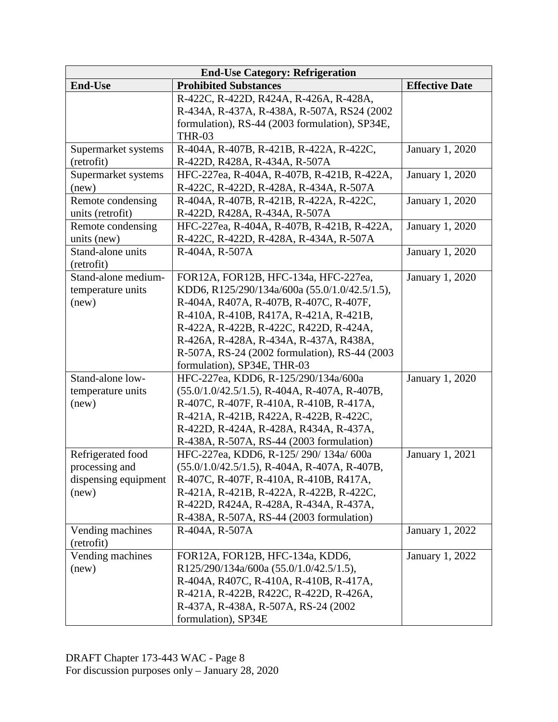| <b>End-Use Category: Refrigeration</b> |                                                 |                        |  |
|----------------------------------------|-------------------------------------------------|------------------------|--|
| <b>End-Use</b>                         | <b>Prohibited Substances</b>                    | <b>Effective Date</b>  |  |
|                                        | R-422C, R-422D, R424A, R-426A, R-428A,          |                        |  |
|                                        | R-434A, R-437A, R-438A, R-507A, RS24 (2002)     |                        |  |
|                                        | formulation), RS-44 (2003 formulation), SP34E,  |                        |  |
|                                        | <b>THR-03</b>                                   |                        |  |
| Supermarket systems                    | R-404A, R-407B, R-421B, R-422A, R-422C,         | <b>January 1, 2020</b> |  |
| (retrofit)                             | R-422D, R428A, R-434A, R-507A                   |                        |  |
| Supermarket systems                    | HFC-227ea, R-404A, R-407B, R-421B, R-422A,      | January 1, 2020        |  |
| (new)                                  | R-422C, R-422D, R-428A, R-434A, R-507A          |                        |  |
| Remote condensing                      | R-404A, R-407B, R-421B, R-422A, R-422C,         | January 1, 2020        |  |
| units (retrofit)                       | R-422D, R428A, R-434A, R-507A                   |                        |  |
| Remote condensing                      | HFC-227ea, R-404A, R-407B, R-421B, R-422A,      | January 1, 2020        |  |
| units (new)                            | R-422C, R-422D, R-428A, R-434A, R-507A          |                        |  |
| Stand-alone units                      | R-404A, R-507A                                  | <b>January 1, 2020</b> |  |
| (retrofit)                             |                                                 |                        |  |
| Stand-alone medium-                    | FOR12A, FOR12B, HFC-134a, HFC-227ea,            | January 1, 2020        |  |
| temperature units                      | KDD6, R125/290/134a/600a (55.0/1.0/42.5/1.5),   |                        |  |
| (new)                                  | R-404A, R407A, R-407B, R-407C, R-407F,          |                        |  |
|                                        | R-410A, R-410B, R417A, R-421A, R-421B,          |                        |  |
|                                        | R-422A, R-422B, R-422C, R422D, R-424A,          |                        |  |
|                                        | R-426A, R-428A, R-434A, R-437A, R438A,          |                        |  |
|                                        | R-507A, RS-24 (2002 formulation), RS-44 (2003   |                        |  |
|                                        | formulation), SP34E, THR-03                     |                        |  |
| Stand-alone low-                       | HFC-227ea, KDD6, R-125/290/134a/600a            | January 1, 2020        |  |
| temperature units                      | $(55.0/1.0/42.5/1.5)$ , R-404A, R-407A, R-407B, |                        |  |
| (new)                                  | R-407C, R-407F, R-410A, R-410B, R-417A,         |                        |  |
|                                        | R-421A, R-421B, R422A, R-422B, R-422C,          |                        |  |
|                                        | R-422D, R-424A, R-428A, R434A, R-437A,          |                        |  |
|                                        | R-438A, R-507A, RS-44 (2003 formulation)        |                        |  |
| Refrigerated food                      | HFC-227ea, KDD6, R-125/290/134a/600a            | January 1, 2021        |  |
| processing and                         | $(55.0/1.0/42.5/1.5)$ , R-404A, R-407A, R-407B, |                        |  |
| dispensing equipment                   | R-407C, R-407F, R-410A, R-410B, R417A,          |                        |  |
| (new)                                  | R-421A, R-421B, R-422A, R-422B, R-422C,         |                        |  |
|                                        | R-422D, R424A, R-428A, R-434A, R-437A,          |                        |  |
|                                        | R-438A, R-507A, RS-44 (2003 formulation)        |                        |  |
| Vending machines                       | R-404A, R-507A                                  | January 1, 2022        |  |
| (retrofit)                             |                                                 |                        |  |
| Vending machines                       | FOR12A, FOR12B, HFC-134a, KDD6,                 | January 1, 2022        |  |
| (new)                                  | R125/290/134a/600a (55.0/1.0/42.5/1.5),         |                        |  |
|                                        | R-404A, R407C, R-410A, R-410B, R-417A,          |                        |  |
|                                        | R-421A, R-422B, R422C, R-422D, R-426A,          |                        |  |
|                                        | R-437A, R-438A, R-507A, RS-24 (2002)            |                        |  |
|                                        | formulation), SP34E                             |                        |  |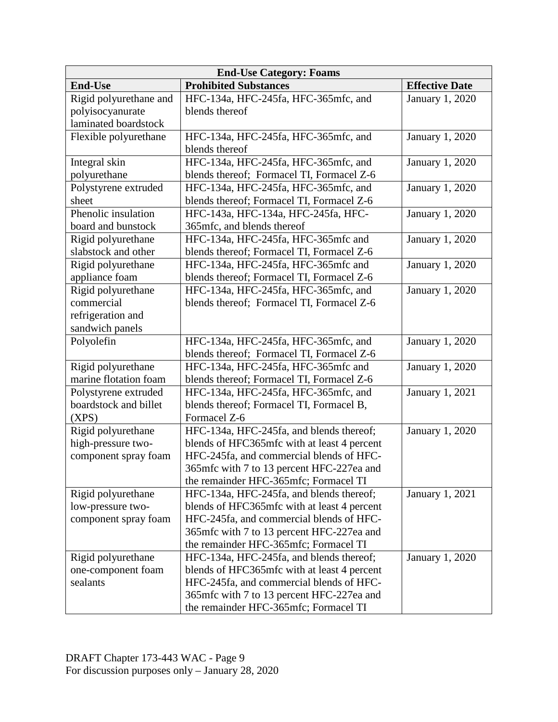| <b>End-Use Category: Foams</b> |                                             |                        |  |
|--------------------------------|---------------------------------------------|------------------------|--|
| <b>End-Use</b>                 | <b>Prohibited Substances</b>                | <b>Effective Date</b>  |  |
| Rigid polyurethane and         | HFC-134a, HFC-245fa, HFC-365mfc, and        | January 1, 2020        |  |
| polyisocyanurate               | blends thereof                              |                        |  |
| laminated boardstock           |                                             |                        |  |
| Flexible polyurethane          | HFC-134a, HFC-245fa, HFC-365mfc, and        | January 1, 2020        |  |
|                                | blends thereof                              |                        |  |
| Integral skin                  | HFC-134a, HFC-245fa, HFC-365mfc, and        | January 1, 2020        |  |
| polyurethane                   | blends thereof; Formacel TI, Formacel Z-6   |                        |  |
| Polystyrene extruded           | HFC-134a, HFC-245fa, HFC-365mfc, and        | January 1, 2020        |  |
| sheet                          | blends thereof; Formacel TI, Formacel Z-6   |                        |  |
| Phenolic insulation            | HFC-143a, HFC-134a, HFC-245fa, HFC-         | January 1, 2020        |  |
| board and bunstock             | 365mfc, and blends thereof                  |                        |  |
| Rigid polyurethane             | HFC-134a, HFC-245fa, HFC-365mfc and         | January 1, 2020        |  |
| slabstock and other            | blends thereof; Formacel TI, Formacel Z-6   |                        |  |
| Rigid polyurethane             | HFC-134a, HFC-245fa, HFC-365mfc and         | January 1, 2020        |  |
| appliance foam                 | blends thereof; Formacel TI, Formacel Z-6   |                        |  |
| Rigid polyurethane             | HFC-134a, HFC-245fa, HFC-365mfc, and        | January 1, 2020        |  |
| commercial                     | blends thereof; Formacel TI, Formacel Z-6   |                        |  |
| refrigeration and              |                                             |                        |  |
| sandwich panels                |                                             |                        |  |
| Polyolefin                     | HFC-134a, HFC-245fa, HFC-365mfc, and        | January 1, 2020        |  |
|                                | blends thereof; Formacel TI, Formacel Z-6   |                        |  |
| Rigid polyurethane             | HFC-134a, HFC-245fa, HFC-365mfc and         | January 1, 2020        |  |
| marine flotation foam          | blends thereof; Formacel TI, Formacel Z-6   |                        |  |
| Polystyrene extruded           | HFC-134a, HFC-245fa, HFC-365mfc, and        | January 1, 2021        |  |
| boardstock and billet          | blends thereof; Formacel TI, Formacel B,    |                        |  |
| (XPS)                          | Formacel Z-6                                |                        |  |
| Rigid polyurethane             | HFC-134a, HFC-245fa, and blends thereof;    | January 1, 2020        |  |
| high-pressure two-             | blends of HFC365mfc with at least 4 percent |                        |  |
| component spray foam           | HFC-245fa, and commercial blends of HFC-    |                        |  |
|                                | 365mfc with 7 to 13 percent HFC-227ea and   |                        |  |
|                                | the remainder HFC-365mfc; Formacel TI       |                        |  |
| Rigid polyurethane             | HFC-134a, HFC-245fa, and blends thereof;    | January 1, 2021        |  |
| low-pressure two-              | blends of HFC365mfc with at least 4 percent |                        |  |
| component spray foam           | HFC-245fa, and commercial blends of HFC-    |                        |  |
|                                | 365mfc with 7 to 13 percent HFC-227ea and   |                        |  |
|                                | the remainder HFC-365mfc; Formacel TI       |                        |  |
| Rigid polyurethane             | HFC-134a, HFC-245fa, and blends thereof;    | <b>January 1, 2020</b> |  |
| one-component foam             | blends of HFC365mfc with at least 4 percent |                        |  |
| sealants                       | HFC-245fa, and commercial blends of HFC-    |                        |  |
|                                | 365mfc with 7 to 13 percent HFC-227ea and   |                        |  |
|                                | the remainder HFC-365mfc; Formacel TI       |                        |  |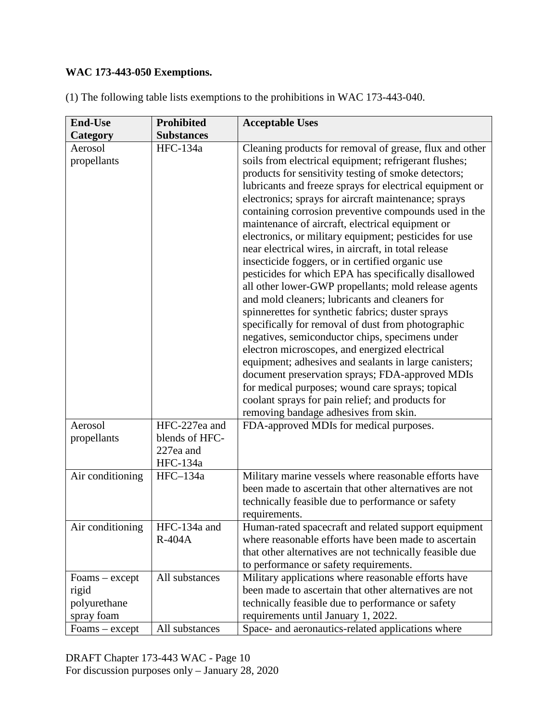# **WAC 173-443-050 Exemptions.**

| <b>End-Use</b>                                          | <b>Prohibited</b>                                        | <b>Acceptable Uses</b>                                                                                                                                                                                                                                                                                                                                                                                                                                                                                                                                                                                                                                                                                                                                                                                                                                                                                                                                                                                                                                                                                                                                                                                                         |
|---------------------------------------------------------|----------------------------------------------------------|--------------------------------------------------------------------------------------------------------------------------------------------------------------------------------------------------------------------------------------------------------------------------------------------------------------------------------------------------------------------------------------------------------------------------------------------------------------------------------------------------------------------------------------------------------------------------------------------------------------------------------------------------------------------------------------------------------------------------------------------------------------------------------------------------------------------------------------------------------------------------------------------------------------------------------------------------------------------------------------------------------------------------------------------------------------------------------------------------------------------------------------------------------------------------------------------------------------------------------|
| Category                                                | <b>Substances</b>                                        |                                                                                                                                                                                                                                                                                                                                                                                                                                                                                                                                                                                                                                                                                                                                                                                                                                                                                                                                                                                                                                                                                                                                                                                                                                |
| Aerosol<br>propellants                                  | HFC-134a                                                 | Cleaning products for removal of grease, flux and other<br>soils from electrical equipment; refrigerant flushes;<br>products for sensitivity testing of smoke detectors;<br>lubricants and freeze sprays for electrical equipment or<br>electronics; sprays for aircraft maintenance; sprays<br>containing corrosion preventive compounds used in the<br>maintenance of aircraft, electrical equipment or<br>electronics, or military equipment; pesticides for use<br>near electrical wires, in aircraft, in total release<br>insecticide foggers, or in certified organic use<br>pesticides for which EPA has specifically disallowed<br>all other lower-GWP propellants; mold release agents<br>and mold cleaners; lubricants and cleaners for<br>spinnerettes for synthetic fabrics; duster sprays<br>specifically for removal of dust from photographic<br>negatives, semiconductor chips, specimens under<br>electron microscopes, and energized electrical<br>equipment; adhesives and sealants in large canisters;<br>document preservation sprays; FDA-approved MDIs<br>for medical purposes; wound care sprays; topical<br>coolant sprays for pain relief; and products for<br>removing bandage adhesives from skin. |
| Aerosol<br>propellants                                  | HFC-227ea and<br>blends of HFC-<br>227ea and<br>HFC-134a | FDA-approved MDIs for medical purposes.                                                                                                                                                                                                                                                                                                                                                                                                                                                                                                                                                                                                                                                                                                                                                                                                                                                                                                                                                                                                                                                                                                                                                                                        |
| Air conditioning                                        | HFC-134a                                                 | Military marine vessels where reasonable efforts have<br>been made to ascertain that other alternatives are not<br>technically feasible due to performance or safety<br>requirements.                                                                                                                                                                                                                                                                                                                                                                                                                                                                                                                                                                                                                                                                                                                                                                                                                                                                                                                                                                                                                                          |
| Air conditioning                                        | HFC-134a and<br>$R-404A$                                 | Human-rated spacecraft and related support equipment<br>where reasonable efforts have been made to ascertain<br>that other alternatives are not technically feasible due<br>to performance or safety requirements.                                                                                                                                                                                                                                                                                                                                                                                                                                                                                                                                                                                                                                                                                                                                                                                                                                                                                                                                                                                                             |
| $Foams - except$<br>rigid<br>polyurethane<br>spray foam | All substances                                           | Military applications where reasonable efforts have<br>been made to ascertain that other alternatives are not<br>technically feasible due to performance or safety<br>requirements until January 1, 2022.                                                                                                                                                                                                                                                                                                                                                                                                                                                                                                                                                                                                                                                                                                                                                                                                                                                                                                                                                                                                                      |
| Foams – except                                          | All substances                                           | Space- and aeronautics-related applications where                                                                                                                                                                                                                                                                                                                                                                                                                                                                                                                                                                                                                                                                                                                                                                                                                                                                                                                                                                                                                                                                                                                                                                              |

(1) The following table lists exemptions to the prohibitions in WAC 173-443-040.

DRAFT Chapter 173-443 WAC - Page 10 For discussion purposes only – January 28, 2020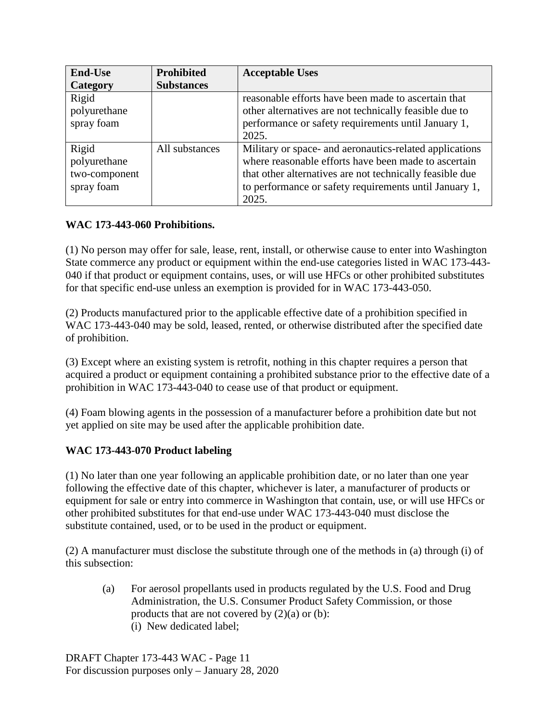| <b>End-Use</b> | <b>Prohibited</b> | <b>Acceptable Uses</b>                                   |
|----------------|-------------------|----------------------------------------------------------|
| Category       | <b>Substances</b> |                                                          |
| Rigid          |                   | reasonable efforts have been made to ascertain that      |
| polyurethane   |                   | other alternatives are not technically feasible due to   |
| spray foam     |                   | performance or safety requirements until January 1,      |
|                |                   | 2025.                                                    |
| Rigid          | All substances    | Military or space- and aeronautics-related applications  |
| polyurethane   |                   | where reasonable efforts have been made to ascertain     |
| two-component  |                   | that other alternatives are not technically feasible due |
| spray foam     |                   | to performance or safety requirements until January 1,   |
|                |                   | 2025.                                                    |

# **WAC 173-443-060 Prohibitions.**

(1) No person may offer for sale, lease, rent, install, or otherwise cause to enter into Washington State commerce any product or equipment within the end-use categories listed in WAC 173-443- 040 if that product or equipment contains, uses, or will use HFCs or other prohibited substitutes for that specific end-use unless an exemption is provided for in WAC 173-443-050.

(2) Products manufactured prior to the applicable effective date of a prohibition specified in WAC 173-443-040 may be sold, leased, rented, or otherwise distributed after the specified date of prohibition.

(3) Except where an existing system is retrofit, nothing in this chapter requires a person that acquired a product or equipment containing a prohibited substance prior to the effective date of a prohibition in WAC 173-443-040 to cease use of that product or equipment.

(4) Foam blowing agents in the possession of a manufacturer before a prohibition date but not yet applied on site may be used after the applicable prohibition date.

## **WAC 173-443-070 Product labeling**

(1) No later than one year following an applicable prohibition date, or no later than one year following the effective date of this chapter, whichever is later, a manufacturer of products or equipment for sale or entry into commerce in Washington that contain, use, or will use HFCs or other prohibited substitutes for that end-use under WAC 173-443-040 must disclose the substitute contained, used, or to be used in the product or equipment.

(2) A manufacturer must disclose the substitute through one of the methods in (a) through (i) of this subsection:

(a) For aerosol propellants used in products regulated by the U.S. Food and Drug Administration, the U.S. Consumer Product Safety Commission, or those products that are not covered by  $(2)(a)$  or  $(b)$ : (i) New dedicated label;

DRAFT Chapter 173-443 WAC - Page 11 For discussion purposes only – January 28, 2020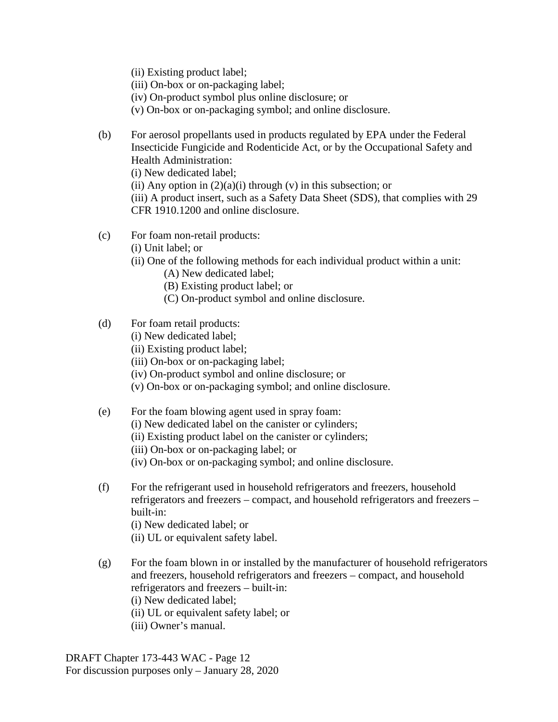- (ii) Existing product label;
- (iii) On-box or on-packaging label;
- (iv) On-product symbol plus online disclosure; or
- (v) On-box or on-packaging symbol; and online disclosure.

(b) For aerosol propellants used in products regulated by EPA under the Federal Insecticide Fungicide and Rodenticide Act, or by the Occupational Safety and Health Administration:

(i) New dedicated label;

(ii) Any option in  $(2)(a)(i)$  through (v) in this subsection; or

(iii) A product insert, such as a Safety Data Sheet (SDS), that complies with 29 CFR 1910.1200 and online disclosure.

- (c) For foam non-retail products:
	- (i) Unit label; or
	- (ii) One of the following methods for each individual product within a unit:
		- (A) New dedicated label;
		- (B) Existing product label; or
		- (C) On-product symbol and online disclosure.

#### (d) For foam retail products:

- (i) New dedicated label;
- (ii) Existing product label;
- (iii) On-box or on-packaging label;
- (iv) On-product symbol and online disclosure; or
- (v) On-box or on-packaging symbol; and online disclosure.
- (e) For the foam blowing agent used in spray foam:
	- (i) New dedicated label on the canister or cylinders;
	- (ii) Existing product label on the canister or cylinders;
	- (iii) On-box or on-packaging label; or
	- (iv) On-box or on-packaging symbol; and online disclosure.
- (f) For the refrigerant used in household refrigerators and freezers, household refrigerators and freezers – compact, and household refrigerators and freezers – built-in:
	- (i) New dedicated label; or
	- (ii) UL or equivalent safety label.
- (g) For the foam blown in or installed by the manufacturer of household refrigerators and freezers, household refrigerators and freezers – compact, and household refrigerators and freezers – built-in: (i) New dedicated label;
	-
	- (ii) UL or equivalent safety label; or
	- (iii) Owner's manual.

DRAFT Chapter 173-443 WAC - Page 12 For discussion purposes only – January 28, 2020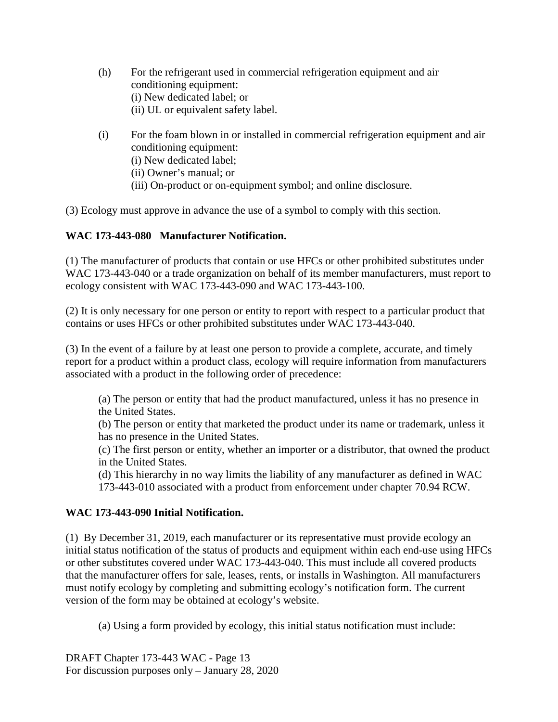- (h) For the refrigerant used in commercial refrigeration equipment and air conditioning equipment: (i) New dedicated label; or (ii) UL or equivalent safety label.
- (i) For the foam blown in or installed in commercial refrigeration equipment and air conditioning equipment: (i) New dedicated label; (ii) Owner's manual; or (iii) On-product or on-equipment symbol; and online disclosure.

(3) Ecology must approve in advance the use of a symbol to comply with this section.

# **WAC 173-443-080 Manufacturer Notification.**

(1) The manufacturer of products that contain or use HFCs or other prohibited substitutes under WAC 173-443-040 or a trade organization on behalf of its member manufacturers, must report to ecology consistent with WAC 173-443-090 and WAC 173-443-100.

(2) It is only necessary for one person or entity to report with respect to a particular product that contains or uses HFCs or other prohibited substitutes under WAC 173-443-040.

(3) In the event of a failure by at least one person to provide a complete, accurate, and timely report for a product within a product class, ecology will require information from manufacturers associated with a product in the following order of precedence:

(a) The person or entity that had the product manufactured, unless it has no presence in the United States.

(b) The person or entity that marketed the product under its name or trademark, unless it has no presence in the United States.

(c) The first person or entity, whether an importer or a distributor, that owned the product in the United States.

(d) This hierarchy in no way limits the liability of any manufacturer as defined in WAC 173-443-010 associated with a product from enforcement under chapter 70.94 RCW.

## **WAC 173-443-090 Initial Notification.**

(1) By December 31, 2019, each manufacturer or its representative must provide ecology an initial status notification of the status of products and equipment within each end-use using HFCs or other substitutes covered under WAC 173-443-040. This must include all covered products that the manufacturer offers for sale, leases, rents, or installs in Washington. All manufacturers must notify ecology by completing and submitting ecology's notification form. The current version of the form may be obtained at ecology's website.

(a) Using a form provided by ecology, this initial status notification must include:

DRAFT Chapter 173-443 WAC - Page 13 For discussion purposes only – January 28, 2020